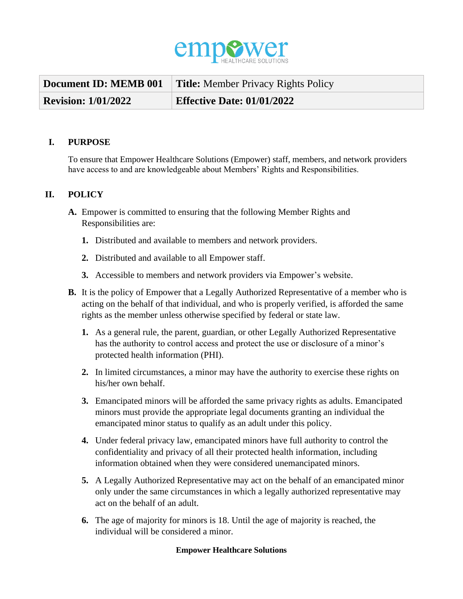

| Document ID: MEMB 001      | <b>Title:</b> Member Privacy Rights Policy |
|----------------------------|--------------------------------------------|
| <b>Revision: 1/01/2022</b> | <b>Effective Date: 01/01/2022</b>          |

## **I. PURPOSE**

To ensure that Empower Healthcare Solutions (Empower) staff, members, and network providers have access to and are knowledgeable about Members' Rights and Responsibilities.

## **II. POLICY**

- **A.** Empower is committed to ensuring that the following Member Rights and Responsibilities are:
	- **1.** Distributed and available to members and network providers.
	- **2.** Distributed and available to all Empower staff.
	- **3.** Accessible to members and network providers via Empower's website.
- **B.** It is the policy of Empower that a Legally Authorized Representative of a member who is acting on the behalf of that individual, and who is properly verified, is afforded the same rights as the member unless otherwise specified by federal or state law.
	- **1.** As a general rule, the parent, guardian, or other Legally Authorized Representative has the authority to control access and protect the use or disclosure of a minor's protected health information (PHI).
	- **2.** In limited circumstances, a minor may have the authority to exercise these rights on his/her own behalf.
	- **3.** Emancipated minors will be afforded the same privacy rights as adults. Emancipated minors must provide the appropriate legal documents granting an individual the emancipated minor status to qualify as an adult under this policy.
	- **4.** Under federal privacy law, emancipated minors have full authority to control the confidentiality and privacy of all their protected health information, including information obtained when they were considered unemancipated minors.
	- **5.** A Legally Authorized Representative may act on the behalf of an emancipated minor only under the same circumstances in which a legally authorized representative may act on the behalf of an adult.
	- **6.** The age of majority for minors is 18. Until the age of majority is reached, the individual will be considered a minor.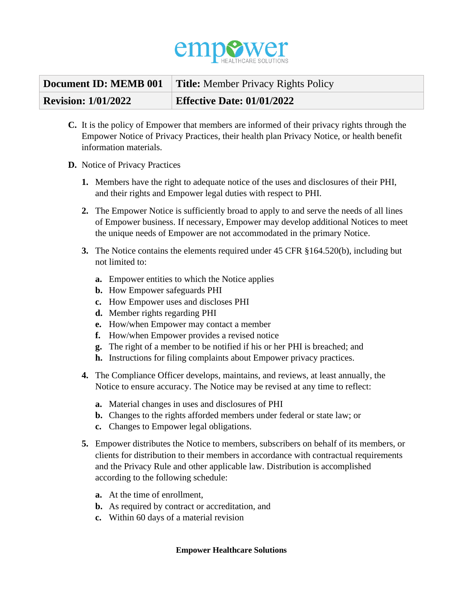

| Document ID: MEMB 001      | <b>Title:</b> Member Privacy Rights Policy |
|----------------------------|--------------------------------------------|
| <b>Revision: 1/01/2022</b> | <b>Effective Date: 01/01/2022</b>          |

- **C.** It is the policy of Empower that members are informed of their privacy rights through the Empower Notice of Privacy Practices, their health plan Privacy Notice, or health benefit information materials.
- **D.** Notice of Privacy Practices
	- **1.** Members have the right to adequate notice of the uses and disclosures of their PHI, and their rights and Empower legal duties with respect to PHI.
	- **2.** The Empower Notice is sufficiently broad to apply to and serve the needs of all lines of Empower business. If necessary, Empower may develop additional Notices to meet the unique needs of Empower are not accommodated in the primary Notice.
	- **3.** The Notice contains the elements required under 45 CFR §164.520(b), including but not limited to:
		- **a.** Empower entities to which the Notice applies
		- **b.** How Empower safeguards PHI
		- **c.** How Empower uses and discloses PHI
		- **d.** Member rights regarding PHI
		- **e.** How/when Empower may contact a member
		- **f.** How/when Empower provides a revised notice
		- **g.** The right of a member to be notified if his or her PHI is breached; and
		- **h.** Instructions for filing complaints about Empower privacy practices.
	- **4.** The Compliance Officer develops, maintains, and reviews, at least annually, the Notice to ensure accuracy. The Notice may be revised at any time to reflect:
		- **a.** Material changes in uses and disclosures of PHI
		- **b.** Changes to the rights afforded members under federal or state law; or
		- **c.** Changes to Empower legal obligations.
	- **5.** Empower distributes the Notice to members, subscribers on behalf of its members, or clients for distribution to their members in accordance with contractual requirements and the Privacy Rule and other applicable law. Distribution is accomplished according to the following schedule:
		- **a.** At the time of enrollment,
		- **b.** As required by contract or accreditation, and
		- **c.** Within 60 days of a material revision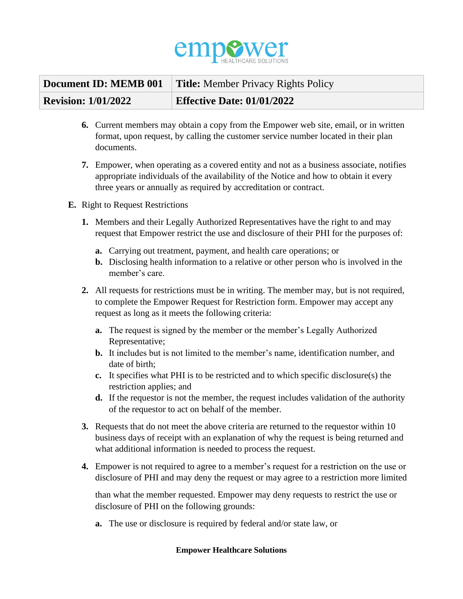

|                            | <b>Document ID: MEMB 001</b>   Title: Member Privacy Rights Policy |
|----------------------------|--------------------------------------------------------------------|
| <b>Revision: 1/01/2022</b> | <b>Effective Date: 01/01/2022</b>                                  |

- **6.** Current members may obtain a copy from the Empower web site, email, or in written format, upon request, by calling the customer service number located in their plan documents.
- **7.** Empower, when operating as a covered entity and not as a business associate, notifies appropriate individuals of the availability of the Notice and how to obtain it every three years or annually as required by accreditation or contract.
- **E.** Right to Request Restrictions
	- **1.** Members and their Legally Authorized Representatives have the right to and may request that Empower restrict the use and disclosure of their PHI for the purposes of:
		- **a.** Carrying out treatment, payment, and health care operations; or
		- **b.** Disclosing health information to a relative or other person who is involved in the member's care.
	- **2.** All requests for restrictions must be in writing. The member may, but is not required, to complete the Empower Request for Restriction form. Empower may accept any request as long as it meets the following criteria:
		- **a.** The request is signed by the member or the member's Legally Authorized Representative;
		- **b.** It includes but is not limited to the member's name, identification number, and date of birth;
		- **c.** It specifies what PHI is to be restricted and to which specific disclosure(s) the restriction applies; and
		- **d.** If the requestor is not the member, the request includes validation of the authority of the requestor to act on behalf of the member.
	- **3.** Requests that do not meet the above criteria are returned to the requestor within 10 business days of receipt with an explanation of why the request is being returned and what additional information is needed to process the request.
	- **4.** Empower is not required to agree to a member's request for a restriction on the use or disclosure of PHI and may deny the request or may agree to a restriction more limited

than what the member requested. Empower may deny requests to restrict the use or disclosure of PHI on the following grounds:

**a.** The use or disclosure is required by federal and/or state law, or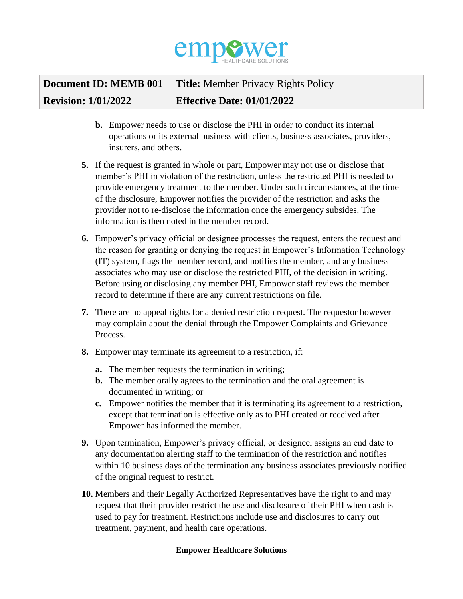

|                            | <b>Document ID: MEMB 001   Title: Member Privacy Rights Policy</b> |
|----------------------------|--------------------------------------------------------------------|
| <b>Revision: 1/01/2022</b> | <b>Effective Date: 01/01/2022</b>                                  |

- **b.** Empower needs to use or disclose the PHI in order to conduct its internal operations or its external business with clients, business associates, providers, insurers, and others.
- **5.** If the request is granted in whole or part, Empower may not use or disclose that member's PHI in violation of the restriction, unless the restricted PHI is needed to provide emergency treatment to the member. Under such circumstances, at the time of the disclosure, Empower notifies the provider of the restriction and asks the provider not to re-disclose the information once the emergency subsides. The information is then noted in the member record.
- **6.** Empower's privacy official or designee processes the request, enters the request and the reason for granting or denying the request in Empower's Information Technology (IT) system, flags the member record, and notifies the member, and any business associates who may use or disclose the restricted PHI, of the decision in writing. Before using or disclosing any member PHI, Empower staff reviews the member record to determine if there are any current restrictions on file.
- **7.** There are no appeal rights for a denied restriction request. The requestor however may complain about the denial through the Empower Complaints and Grievance Process.
- **8.** Empower may terminate its agreement to a restriction, if:
	- **a.** The member requests the termination in writing;
	- **b.** The member orally agrees to the termination and the oral agreement is documented in writing; or
	- **c.** Empower notifies the member that it is terminating its agreement to a restriction, except that termination is effective only as to PHI created or received after Empower has informed the member.
- **9.** Upon termination, Empower's privacy official, or designee, assigns an end date to any documentation alerting staff to the termination of the restriction and notifies within 10 business days of the termination any business associates previously notified of the original request to restrict.
- **10.** Members and their Legally Authorized Representatives have the right to and may request that their provider restrict the use and disclosure of their PHI when cash is used to pay for treatment. Restrictions include use and disclosures to carry out treatment, payment, and health care operations.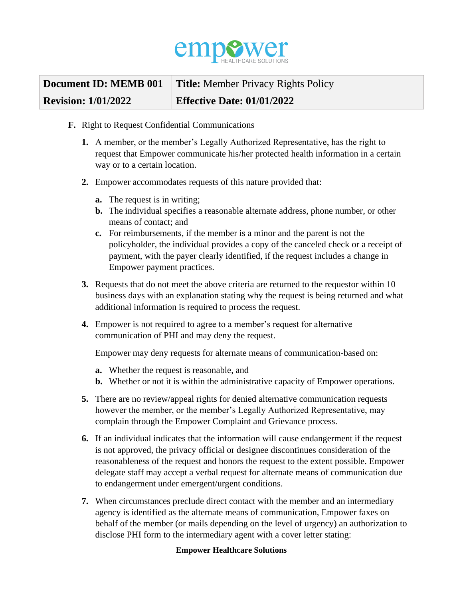

| Document ID: MEMB 001      | <b>Title:</b> Member Privacy Rights Policy |
|----------------------------|--------------------------------------------|
| <b>Revision: 1/01/2022</b> | <b>Effective Date: 01/01/2022</b>          |

- **F.** Right to Request Confidential Communications
	- **1.** A member, or the member's Legally Authorized Representative, has the right to request that Empower communicate his/her protected health information in a certain way or to a certain location.
	- **2.** Empower accommodates requests of this nature provided that:
		- **a.** The request is in writing;
		- **b.** The individual specifies a reasonable alternate address, phone number, or other means of contact; and
		- **c.** For reimbursements, if the member is a minor and the parent is not the policyholder, the individual provides a copy of the canceled check or a receipt of payment, with the payer clearly identified, if the request includes a change in Empower payment practices.
	- **3.** Requests that do not meet the above criteria are returned to the requestor within 10 business days with an explanation stating why the request is being returned and what additional information is required to process the request.
	- **4.** Empower is not required to agree to a member's request for alternative communication of PHI and may deny the request.

Empower may deny requests for alternate means of communication-based on:

- **a.** Whether the request is reasonable, and
- **b.** Whether or not it is within the administrative capacity of Empower operations.
- **5.** There are no review/appeal rights for denied alternative communication requests however the member, or the member's Legally Authorized Representative, may complain through the Empower Complaint and Grievance process.
- **6.** If an individual indicates that the information will cause endangerment if the request is not approved, the privacy official or designee discontinues consideration of the reasonableness of the request and honors the request to the extent possible. Empower delegate staff may accept a verbal request for alternate means of communication due to endangerment under emergent/urgent conditions.
- **7.** When circumstances preclude direct contact with the member and an intermediary agency is identified as the alternate means of communication, Empower faxes on behalf of the member (or mails depending on the level of urgency) an authorization to disclose PHI form to the intermediary agent with a cover letter stating: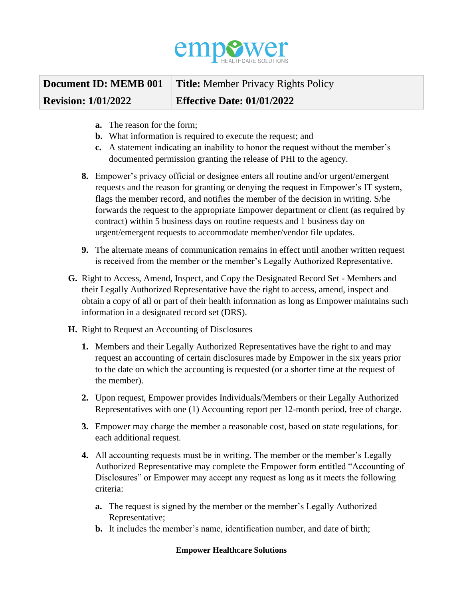

|                            | <b>Document ID: MEMB 001</b>   Title: Member Privacy Rights Policy |
|----------------------------|--------------------------------------------------------------------|
| <b>Revision: 1/01/2022</b> | <b>Effective Date: 01/01/2022</b>                                  |

- **a.** The reason for the form;
- **b.** What information is required to execute the request; and
- **c.** A statement indicating an inability to honor the request without the member's documented permission granting the release of PHI to the agency.
- **8.** Empower's privacy official or designee enters all routine and/or urgent/emergent requests and the reason for granting or denying the request in Empower's IT system, flags the member record, and notifies the member of the decision in writing. S/he forwards the request to the appropriate Empower department or client (as required by contract) within 5 business days on routine requests and 1 business day on urgent/emergent requests to accommodate member/vendor file updates.
- **9.** The alternate means of communication remains in effect until another written request is received from the member or the member's Legally Authorized Representative.
- **G.** Right to Access, Amend, Inspect, and Copy the Designated Record Set Members and their Legally Authorized Representative have the right to access, amend, inspect and obtain a copy of all or part of their health information as long as Empower maintains such information in a designated record set (DRS).
- **H.** Right to Request an Accounting of Disclosures
	- **1.** Members and their Legally Authorized Representatives have the right to and may request an accounting of certain disclosures made by Empower in the six years prior to the date on which the accounting is requested (or a shorter time at the request of the member).
	- **2.** Upon request, Empower provides Individuals/Members or their Legally Authorized Representatives with one (1) Accounting report per 12-month period, free of charge.
	- **3.** Empower may charge the member a reasonable cost, based on state regulations, for each additional request.
	- **4.** All accounting requests must be in writing. The member or the member's Legally Authorized Representative may complete the Empower form entitled "Accounting of Disclosures" or Empower may accept any request as long as it meets the following criteria:
		- **a.** The request is signed by the member or the member's Legally Authorized Representative;
		- **b.** It includes the member's name, identification number, and date of birth;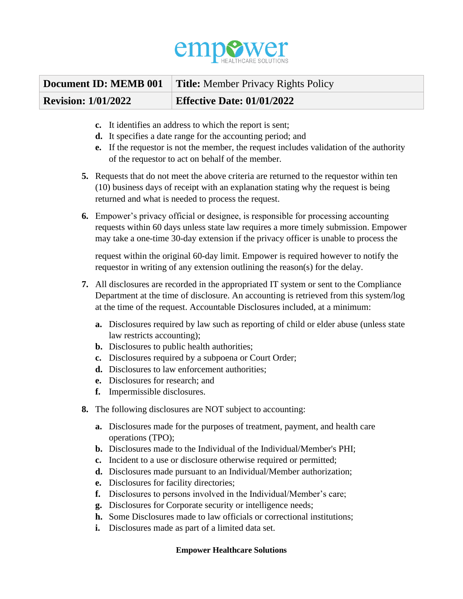

|                            | <b>Document ID: MEMB 001</b>   Title: Member Privacy Rights Policy |
|----------------------------|--------------------------------------------------------------------|
| <b>Revision: 1/01/2022</b> | <b>Effective Date: 01/01/2022</b>                                  |

- **c.** It identifies an address to which the report is sent;
- **d.** It specifies a date range for the accounting period; and
- **e.** If the requestor is not the member, the request includes validation of the authority of the requestor to act on behalf of the member.
- **5.** Requests that do not meet the above criteria are returned to the requestor within ten (10) business days of receipt with an explanation stating why the request is being returned and what is needed to process the request.
- **6.** Empower's privacy official or designee, is responsible for processing accounting requests within 60 days unless state law requires a more timely submission. Empower may take a one-time 30-day extension if the privacy officer is unable to process the

request within the original 60-day limit. Empower is required however to notify the requestor in writing of any extension outlining the reason(s) for the delay.

- **7.** All disclosures are recorded in the appropriated IT system or sent to the Compliance Department at the time of disclosure. An accounting is retrieved from this system/log at the time of the request. Accountable Disclosures included, at a minimum:
	- **a.** Disclosures required by law such as reporting of child or elder abuse (unless state law restricts accounting);
	- **b.** Disclosures to public health authorities;
	- **c.** Disclosures required by a subpoena or Court Order;
	- **d.** Disclosures to law enforcement authorities;
	- **e.** Disclosures for research; and
	- **f.** Impermissible disclosures.
- **8.** The following disclosures are NOT subject to accounting:
	- **a.** Disclosures made for the purposes of treatment, payment, and health care operations (TPO);
	- **b.** Disclosures made to the Individual of the Individual/Member's PHI;
	- **c.** Incident to a use or disclosure otherwise required or permitted;
	- **d.** Disclosures made pursuant to an Individual/Member authorization;
	- **e.** Disclosures for facility directories;
	- **f.** Disclosures to persons involved in the Individual/Member's care;
	- **g.** Disclosures for Corporate security or intelligence needs;
	- **h.** Some Disclosures made to law officials or correctional institutions;
	- **i.** Disclosures made as part of a limited data set.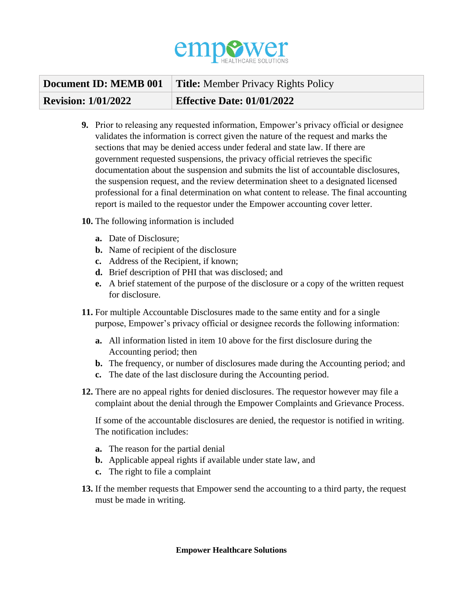

|                            | <b>Document ID: MEMB 001</b>   Title: Member Privacy Rights Policy |
|----------------------------|--------------------------------------------------------------------|
| <b>Revision: 1/01/2022</b> | <b>Effective Date: 01/01/2022</b>                                  |

- **9.** Prior to releasing any requested information, Empower's privacy official or designee validates the information is correct given the nature of the request and marks the sections that may be denied access under federal and state law. If there are government requested suspensions, the privacy official retrieves the specific documentation about the suspension and submits the list of accountable disclosures, the suspension request, and the review determination sheet to a designated licensed professional for a final determination on what content to release. The final accounting report is mailed to the requestor under the Empower accounting cover letter.
- **10.** The following information is included
	- **a.** Date of Disclosure;
	- **b.** Name of recipient of the disclosure
	- **c.** Address of the Recipient, if known;
	- **d.** Brief description of PHI that was disclosed; and
	- **e.** A brief statement of the purpose of the disclosure or a copy of the written request for disclosure.
- **11.** For multiple Accountable Disclosures made to the same entity and for a single purpose, Empower's privacy official or designee records the following information:
	- **a.** All information listed in item 10 above for the first disclosure during the Accounting period; then
	- **b.** The frequency, or number of disclosures made during the Accounting period; and
	- **c.** The date of the last disclosure during the Accounting period.
- **12.** There are no appeal rights for denied disclosures. The requestor however may file a complaint about the denial through the Empower Complaints and Grievance Process.

If some of the accountable disclosures are denied, the requestor is notified in writing. The notification includes:

- **a.** The reason for the partial denial
- **b.** Applicable appeal rights if available under state law, and
- **c.** The right to file a complaint
- **13.** If the member requests that Empower send the accounting to a third party, the request must be made in writing.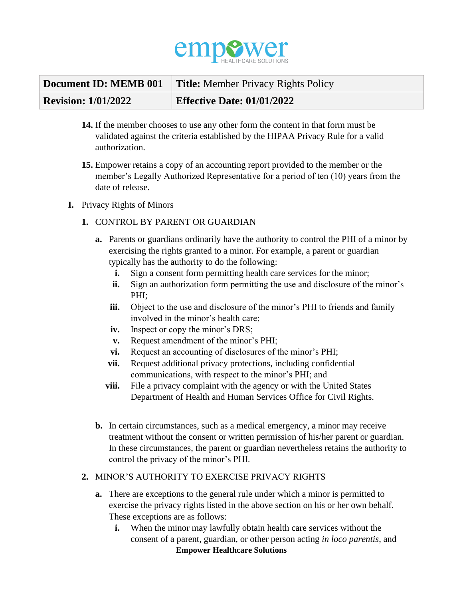

| Document ID: MEMB 001      | <b>Title:</b> Member Privacy Rights Policy |
|----------------------------|--------------------------------------------|
| <b>Revision: 1/01/2022</b> | <b>Effective Date: 01/01/2022</b>          |

- **14.** If the member chooses to use any other form the content in that form must be validated against the criteria established by the HIPAA Privacy Rule for a valid authorization.
- **15.** Empower retains a copy of an accounting report provided to the member or the member's Legally Authorized Representative for a period of ten (10) years from the date of release.
- **I.** Privacy Rights of Minors
	- **1.** CONTROL BY PARENT OR GUARDIAN
		- **a.** Parents or guardians ordinarily have the authority to control the PHI of a minor by exercising the rights granted to a minor. For example, a parent or guardian typically has the authority to do the following:
			- **i.** Sign a consent form permitting health care services for the minor;
			- **ii.** Sign an authorization form permitting the use and disclosure of the minor's PHI;
			- **iii.** Object to the use and disclosure of the minor's PHI to friends and family involved in the minor's health care;
			- **iv.** Inspect or copy the minor's DRS;
			- **v.** Request amendment of the minor's PHI;
			- **vi.** Request an accounting of disclosures of the minor's PHI;
			- **vii.** Request additional privacy protections, including confidential communications, with respect to the minor's PHI; and
			- **viii.** File a privacy complaint with the agency or with the United States Department of Health and Human Services Office for Civil Rights.
		- **b.** In certain circumstances, such as a medical emergency, a minor may receive treatment without the consent or written permission of his/her parent or guardian. In these circumstances, the parent or guardian nevertheless retains the authority to control the privacy of the minor's PHI.

# **2.** MINOR'S AUTHORITY TO EXERCISE PRIVACY RIGHTS

- **a.** There are exceptions to the general rule under which a minor is permitted to exercise the privacy rights listed in the above section on his or her own behalf. These exceptions are as follows:
	- **Empower Healthcare Solutions i.** When the minor may lawfully obtain health care services without the consent of a parent, guardian, or other person acting *in loco parentis*, and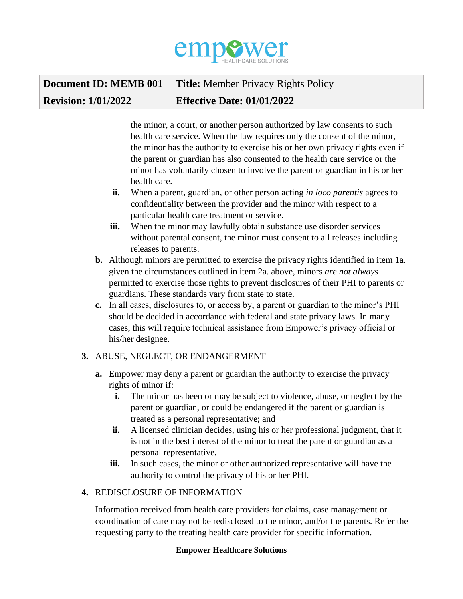

|                            | <b>Document ID: MEMB 001</b>   Title: Member Privacy Rights Policy |
|----------------------------|--------------------------------------------------------------------|
| <b>Revision: 1/01/2022</b> | <b>Effective Date: 01/01/2022</b>                                  |

the minor, a court, or another person authorized by law consents to such health care service. When the law requires only the consent of the minor, the minor has the authority to exercise his or her own privacy rights even if the parent or guardian has also consented to the health care service or the minor has voluntarily chosen to involve the parent or guardian in his or her health care.

- **ii.** When a parent, guardian, or other person acting *in loco parentis* agrees to confidentiality between the provider and the minor with respect to a particular health care treatment or service.
- **iii.** When the minor may lawfully obtain substance use disorder services without parental consent, the minor must consent to all releases including releases to parents.
- **b.** Although minors are permitted to exercise the privacy rights identified in item 1a. given the circumstances outlined in item 2a. above, minors *are not always*  permitted to exercise those rights to prevent disclosures of their PHI to parents or guardians. These standards vary from state to state.
- **c.** In all cases, disclosures to, or access by, a parent or guardian to the minor's PHI should be decided in accordance with federal and state privacy laws. In many cases, this will require technical assistance from Empower's privacy official or his/her designee.

# **3.** ABUSE, NEGLECT, OR ENDANGERMENT

- **a.** Empower may deny a parent or guardian the authority to exercise the privacy rights of minor if:
	- **i.** The minor has been or may be subject to violence, abuse, or neglect by the parent or guardian, or could be endangered if the parent or guardian is treated as a personal representative; and
	- **ii.** A licensed clinician decides, using his or her professional judgment, that it is not in the best interest of the minor to treat the parent or guardian as a personal representative.
	- **iii.** In such cases, the minor or other authorized representative will have the authority to control the privacy of his or her PHI.

# **4.** REDISCLOSURE OF INFORMATION

Information received from health care providers for claims, case management or coordination of care may not be redisclosed to the minor, and/or the parents. Refer the requesting party to the treating health care provider for specific information.